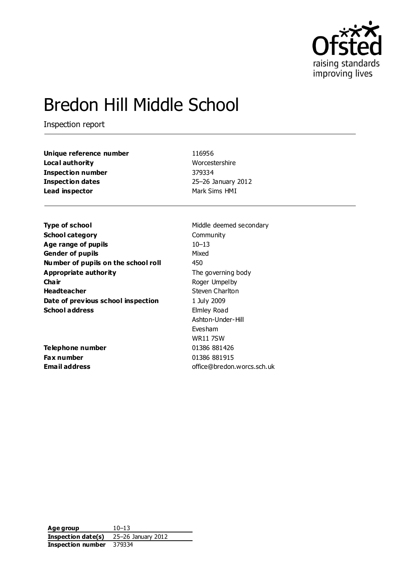

# Bredon Hill Middle School

Inspection report

| Unique reference number  | 116956             |
|--------------------------|--------------------|
| Local authority          | Worcestershire     |
| <b>Inspection number</b> | 379334             |
| <b>Inspection dates</b>  | 25-26 January 2012 |
| Lead inspector           | Mark Sims HMI      |

**Type of school** Middle deemed secondary **School category** Community **Age range of pupils** 10–13 **Gender of pupils** Mixed **Number of pupils on the school roll** 450 **Appropriate authority** The governing body **Chair** Roger Umpelby **Headteacher** Steven Charlton **Date of previous school inspection** 1 July 2009 **School address** Elmley Road

**Telephone number** 01386 881426 **Fax number** 01386 881915

Ashton-Under-Hill Evesham WR11 7SW **Email address** office@bredon.worcs.sch.uk

**Age group** 10–13 **Inspection date(s)** 25–26 January 2012 **Inspection number** 379334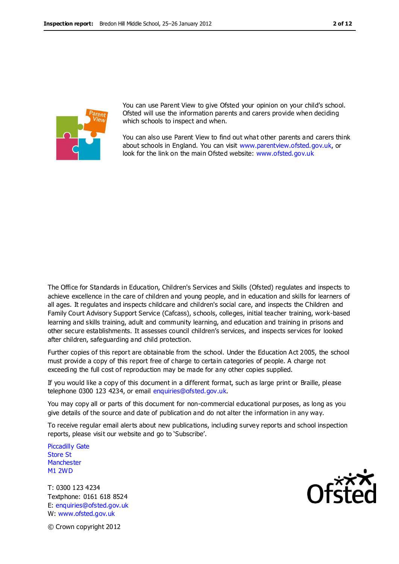

You can use Parent View to give Ofsted your opinion on your child's school. Ofsted will use the information parents and carers provide when deciding which schools to inspect and when.

You can also use Parent View to find out what other parents and carers think about schools in England. You can visit [www.parentview.ofsted.gov.uk,](http://www.parentview.ofsted.gov.uk/) or look for the link on the main Ofsted website: [www.ofsted.gov.uk](http://www.ofsted.gov.uk/)

The Office for Standards in Education, Children's Services and Skills (Ofsted) regulates and inspects to achieve excellence in the care of children and young people, and in education and skills for learners of all ages. It regulates and inspects childcare and children's social care, and inspects the Children and Family Court Advisory Support Service (Cafcass), schools, colleges, initial teacher training, work-based learning and skills training, adult and community learning, and education and training in prisons and other secure establishments. It assesses council children's services, and inspects services for looked after children, safeguarding and child protection.

Further copies of this report are obtainable from the school. Under the Education Act 2005, the school must provide a copy of this report free of charge to certain categories of people. A charge not exceeding the full cost of reproduction may be made for any other copies supplied.

If you would like a copy of this document in a different format, such as large print or Braille, please telephone 0300 123 4234, or email enquiries@ofsted.gov.uk.

You may copy all or parts of this document for non-commercial educational purposes, as long as you give details of the source and date of publication and do not alter the information in any way.

To receive regular email alerts about new publications, including survey reports and school inspection reports, please visit our website and go to 'Subscribe'.

Piccadilly Gate Store St **Manchester** M1 2WD

T: 0300 123 4234 Textphone: 0161 618 8524 E: enquiries@ofsted.gov.uk W: www.ofsted.gov.uk



© Crown copyright 2012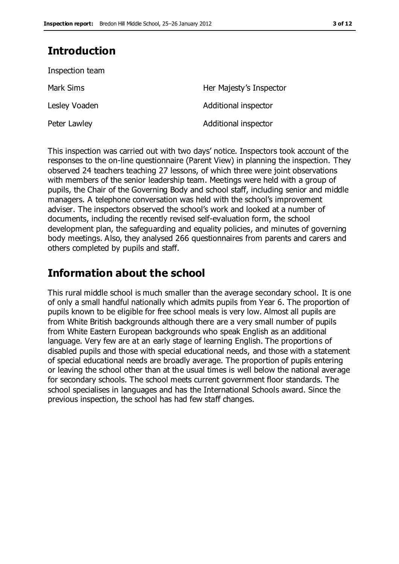# **Introduction**

| Her Majesty's Inspector |
|-------------------------|
| Additional inspector    |
| Additional inspector    |
|                         |

This inspection was carried out with two days' notice. Inspectors took account of the responses to the on-line questionnaire (Parent View) in planning the inspection. They observed 24 teachers teaching 27 lessons, of which three were joint observations with members of the senior leadership team. Meetings were held with a group of pupils, the Chair of the Governing Body and school staff, including senior and middle managers. A telephone conversation was held with the school's improvement adviser. The inspectors observed the school's work and looked at a number of documents, including the recently revised self-evaluation form, the school development plan, the safeguarding and equality policies, and minutes of governing body meetings. Also, they analysed 266 questionnaires from parents and carers and others completed by pupils and staff.

## **Information about the school**

This rural middle school is much smaller than the average secondary school. It is one of only a small handful nationally which admits pupils from Year 6. The proportion of pupils known to be eligible for free school meals is very low. Almost all pupils are from White British backgrounds although there are a very small number of pupils from White Eastern European backgrounds who speak English as an additional language. Very few are at an early stage of learning English. The proportions of disabled pupils and those with special educational needs, and those with a statement of special educational needs are broadly average. The proportion of pupils entering or leaving the school other than at the usual times is well below the national average for secondary schools. The school meets current government floor standards. The school specialises in languages and has the International Schools award. Since the previous inspection, the school has had few staff changes.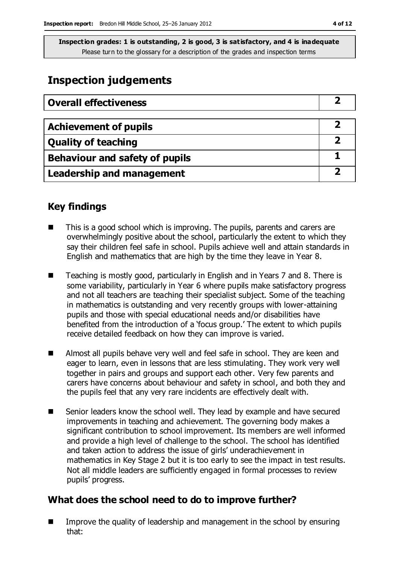# **Inspection judgements**

| <b>Overall effectiveness</b>     |  |
|----------------------------------|--|
|                                  |  |
| <b>Achievement of pupils</b>     |  |
| <b>Quality of teaching</b>       |  |
| Behaviour and safety of pupils   |  |
| <b>Leadership and management</b> |  |

## **Key findings**

- This is a good school which is improving. The pupils, parents and carers are overwhelmingly positive about the school, particularly the extent to which they say their children feel safe in school. Pupils achieve well and attain standards in English and mathematics that are high by the time they leave in Year 8.
- Teaching is mostly good, particularly in English and in Years 7 and 8. There is some variability, particularly in Year 6 where pupils make satisfactory progress and not all teachers are teaching their specialist subject. Some of the teaching in mathematics is outstanding and very recently groups with lower-attaining pupils and those with special educational needs and/or disabilities have benefited from the introduction of a 'focus group.' The extent to which pupils receive detailed feedback on how they can improve is varied.
- Almost all pupils behave very well and feel safe in school. They are keen and eager to learn, even in lessons that are less stimulating. They work very well together in pairs and groups and support each other. Very few parents and carers have concerns about behaviour and safety in school, and both they and the pupils feel that any very rare incidents are effectively dealt with.
- Senior leaders know the school well. They lead by example and have secured improvements in teaching and achievement. The governing body makes a significant contribution to school improvement. Its members are well informed and provide a high level of challenge to the school. The school has identified and taken action to address the issue of girls' underachievement in mathematics in Key Stage 2 but it is too early to see the impact in test results. Not all middle leaders are sufficiently engaged in formal processes to review pupils' progress.

## **What does the school need to do to improve further?**

 Improve the quality of leadership and management in the school by ensuring that: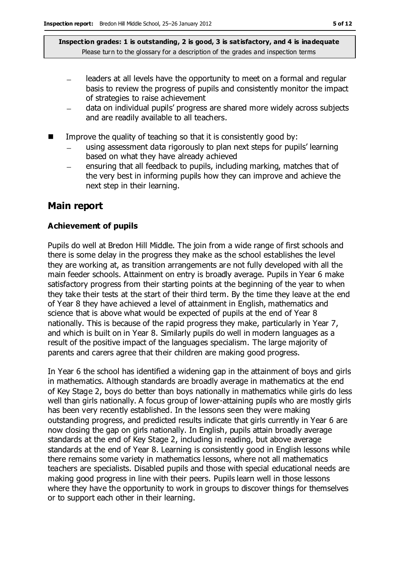- leaders at all levels have the opportunity to meet on a formal and regular basis to review the progress of pupils and consistently monitor the impact of strategies to raise achievement
- data on individual pupils' progress are shared more widely across subjects and are readily available to all teachers.
- Improve the quality of teaching so that it is consistently good by:
	- using assessment data rigorously to plan next steps for pupils' learning based on what they have already achieved
	- ensuring that all feedback to pupils, including marking, matches that of  $\equiv$ the very best in informing pupils how they can improve and achieve the next step in their learning.

### **Main report**

#### **Achievement of pupils**

Pupils do well at Bredon Hill Middle. The join from a wide range of first schools and there is some delay in the progress they make as the school establishes the level they are working at, as transition arrangements are not fully developed with all the main feeder schools. Attainment on entry is broadly average. Pupils in Year 6 make satisfactory progress from their starting points at the beginning of the year to when they take their tests at the start of their third term. By the time they leave at the end of Year 8 they have achieved a level of attainment in English, mathematics and science that is above what would be expected of pupils at the end of Year 8 nationally. This is because of the rapid progress they make, particularly in Year 7, and which is built on in Year 8. Similarly pupils do well in modern languages as a result of the positive impact of the languages specialism. The large majority of parents and carers agree that their children are making good progress.

In Year 6 the school has identified a widening gap in the attainment of boys and girls in mathematics. Although standards are broadly average in mathematics at the end of Key Stage 2, boys do better than boys nationally in mathematics while girls do less well than girls nationally. A focus group of lower-attaining pupils who are mostly girls has been very recently established. In the lessons seen they were making outstanding progress, and predicted results indicate that girls currently in Year 6 are now closing the gap on girls nationally. In English, pupils attain broadly average standards at the end of Key Stage 2, including in reading, but above average standards at the end of Year 8. Learning is consistently good in English lessons while there remains some variety in mathematics lessons, where not all mathematics teachers are specialists. Disabled pupils and those with special educational needs are making good progress in line with their peers. Pupils learn well in those lessons where they have the opportunity to work in groups to discover things for themselves or to support each other in their learning.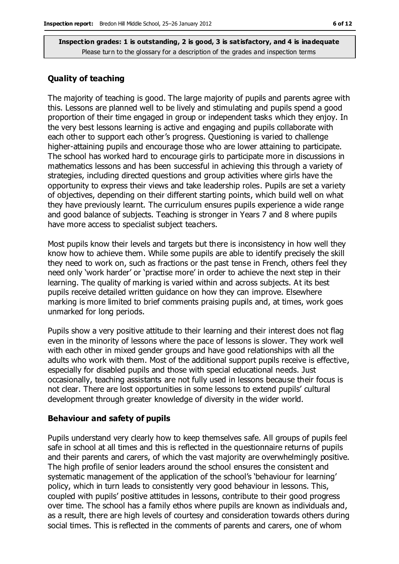#### **Quality of teaching**

The majority of teaching is good. The large majority of pupils and parents agree with this. Lessons are planned well to be lively and stimulating and pupils spend a good proportion of their time engaged in group or independent tasks which they enjoy. In the very best lessons learning is active and engaging and pupils collaborate with each other to support each other's progress. Questioning is varied to challenge higher-attaining pupils and encourage those who are lower attaining to participate. The school has worked hard to encourage girls to participate more in discussions in mathematics lessons and has been successful in achieving this through a variety of strategies, including directed questions and group activities where girls have the opportunity to express their views and take leadership roles. Pupils are set a variety of objectives, depending on their different starting points, which build well on what they have previously learnt. The curriculum ensures pupils experience a wide range and good balance of subjects. Teaching is stronger in Years 7 and 8 where pupils have more access to specialist subject teachers.

Most pupils know their levels and targets but there is inconsistency in how well they know how to achieve them. While some pupils are able to identify precisely the skill they need to work on, such as fractions or the past tense in French, others feel they need only 'work harder' or 'practise more' in order to achieve the next step in their learning. The quality of marking is varied within and across subjects. At its best pupils receive detailed written guidance on how they can improve. Elsewhere marking is more limited to brief comments praising pupils and, at times, work goes unmarked for long periods.

Pupils show a very positive attitude to their learning and their interest does not flag even in the minority of lessons where the pace of lessons is slower. They work well with each other in mixed gender groups and have good relationships with all the adults who work with them. Most of the additional support pupils receive is effective, especially for disabled pupils and those with special educational needs. Just occasionally, teaching assistants are not fully used in lessons because their focus is not clear. There are lost opportunities in some lessons to extend pupils' cultural development through greater knowledge of diversity in the wider world.

#### **Behaviour and safety of pupils**

Pupils understand very clearly how to keep themselves safe. All groups of pupils feel safe in school at all times and this is reflected in the questionnaire returns of pupils and their parents and carers, of which the vast majority are overwhelmingly positive. The high profile of senior leaders around the school ensures the consistent and systematic management of the application of the school's 'behaviour for learning' policy, which in turn leads to consistently very good behaviour in lessons. This, coupled with pupils' positive attitudes in lessons, contribute to their good progress over time. The school has a family ethos where pupils are known as individuals and, as a result, there are high levels of courtesy and consideration towards others during social times. This is reflected in the comments of parents and carers, one of whom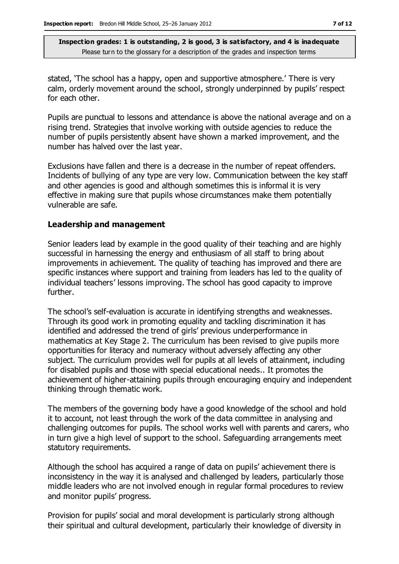stated, 'The school has a happy, open and supportive atmosphere.' There is very calm, orderly movement around the school, strongly underpinned by pupils' respect for each other.

Pupils are punctual to lessons and attendance is above the national average and on a rising trend. Strategies that involve working with outside agencies to reduce the number of pupils persistently absent have shown a marked improvement, and the number has halved over the last year.

Exclusions have fallen and there is a decrease in the number of repeat offenders. Incidents of bullying of any type are very low. Communication between the key staff and other agencies is good and although sometimes this is informal it is very effective in making sure that pupils whose circumstances make them potentially vulnerable are safe.

#### **Leadership and management**

Senior leaders lead by example in the good quality of their teaching and are highly successful in harnessing the energy and enthusiasm of all staff to bring about improvements in achievement. The quality of teaching has improved and there are specific instances where support and training from leaders has led to the quality of individual teachers' lessons improving. The school has good capacity to improve further.

The school's self-evaluation is accurate in identifying strengths and weaknesses. Through its good work in promoting equality and tackling discrimination it has identified and addressed the trend of girls' previous underperformance in mathematics at Key Stage 2. The curriculum has been revised to give pupils more opportunities for literacy and numeracy without adversely affecting any other subject. The curriculum provides well for pupils at all levels of attainment, including for disabled pupils and those with special educational needs.. It promotes the achievement of higher-attaining pupils through encouraging enquiry and independent thinking through thematic work.

The members of the governing body have a good knowledge of the school and hold it to account, not least through the work of the data committee in analysing and challenging outcomes for pupils. The school works well with parents and carers, who in turn give a high level of support to the school. Safeguarding arrangements meet statutory requirements.

Although the school has acquired a range of data on pupils' achievement there is inconsistency in the way it is analysed and challenged by leaders, particularly those middle leaders who are not involved enough in regular formal procedures to review and monitor pupils' progress.

Provision for pupils' social and moral development is particularly strong although their spiritual and cultural development, particularly their knowledge of diversity in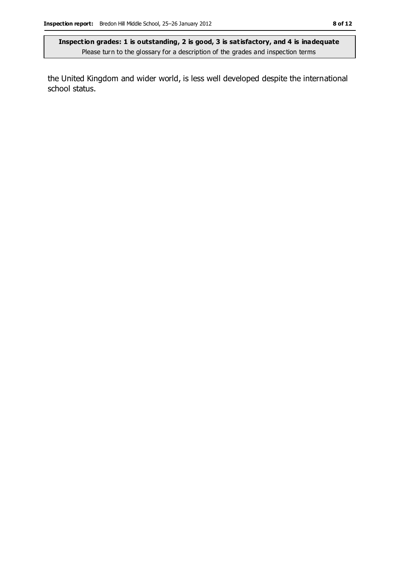the United Kingdom and wider world, is less well developed despite the international school status.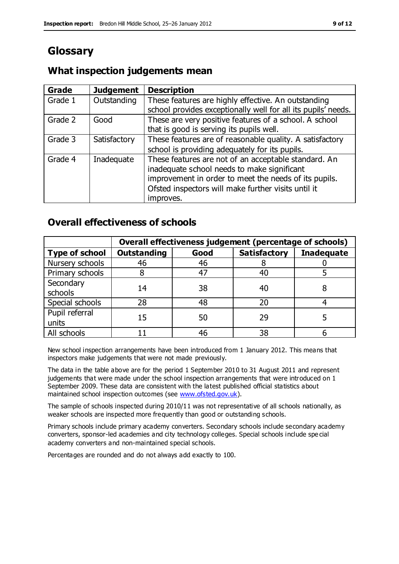# **Glossary**

## **What inspection judgements mean**

| Grade   | <b>Judgement</b> | <b>Description</b>                                                                                                                                                                                                               |
|---------|------------------|----------------------------------------------------------------------------------------------------------------------------------------------------------------------------------------------------------------------------------|
| Grade 1 | Outstanding      | These features are highly effective. An outstanding<br>school provides exceptionally well for all its pupils' needs.                                                                                                             |
| Grade 2 | Good             | These are very positive features of a school. A school<br>that is good is serving its pupils well.                                                                                                                               |
| Grade 3 | Satisfactory     | These features are of reasonable quality. A satisfactory<br>school is providing adequately for its pupils.                                                                                                                       |
| Grade 4 | Inadequate       | These features are not of an acceptable standard. An<br>inadequate school needs to make significant<br>improvement in order to meet the needs of its pupils.<br>Ofsted inspectors will make further visits until it<br>improves. |

## **Overall effectiveness of schools**

|                         | Overall effectiveness judgement (percentage of schools) |      |                     |                   |
|-------------------------|---------------------------------------------------------|------|---------------------|-------------------|
| <b>Type of school</b>   | <b>Outstanding</b>                                      | Good | <b>Satisfactory</b> | <b>Inadequate</b> |
| Nursery schools         | 46                                                      | 46   |                     |                   |
| Primary schools         |                                                         | 47   | 40                  |                   |
| Secondary<br>schools    | 14                                                      | 38   | 40                  |                   |
| Special schools         | 28                                                      | 48   | 20                  |                   |
| Pupil referral<br>units | 15                                                      | 50   | 29                  |                   |
| All schools             |                                                         | 46   | 38                  |                   |

New school inspection arrangements have been introduced from 1 January 2012. This means that inspectors make judgements that were not made previously.

The data in the table above are for the period 1 September 2010 to 31 August 2011 and represent judgements that were made under the school inspection arrangements that were introduced on 1 September 2009. These data are consistent with the latest published official statistics about maintained school inspection outcomes (see [www.ofsted.gov.uk\)](http://www.ofsted.gov.uk/).

The sample of schools inspected during 2010/11 was not representative of all schools nationally, as weaker schools are inspected more frequently than good or outstanding schools.

Primary schools include primary academy converters. Secondary schools include secondary academy converters, sponsor-led academies and city technology colleges. Special schools include spe cial academy converters and non-maintained special schools.

Percentages are rounded and do not always add exactly to 100.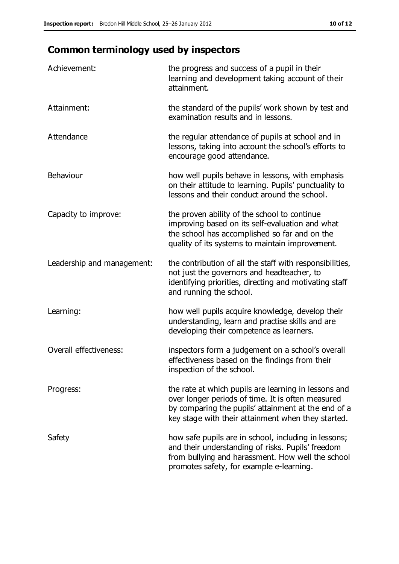# **Common terminology used by inspectors**

| Achievement:               | the progress and success of a pupil in their<br>learning and development taking account of their<br>attainment.                                                                                                        |
|----------------------------|------------------------------------------------------------------------------------------------------------------------------------------------------------------------------------------------------------------------|
| Attainment:                | the standard of the pupils' work shown by test and<br>examination results and in lessons.                                                                                                                              |
| Attendance                 | the regular attendance of pupils at school and in<br>lessons, taking into account the school's efforts to<br>encourage good attendance.                                                                                |
| Behaviour                  | how well pupils behave in lessons, with emphasis<br>on their attitude to learning. Pupils' punctuality to<br>lessons and their conduct around the school.                                                              |
| Capacity to improve:       | the proven ability of the school to continue<br>improving based on its self-evaluation and what<br>the school has accomplished so far and on the<br>quality of its systems to maintain improvement.                    |
| Leadership and management: | the contribution of all the staff with responsibilities,<br>not just the governors and headteacher, to<br>identifying priorities, directing and motivating staff<br>and running the school.                            |
| Learning:                  | how well pupils acquire knowledge, develop their<br>understanding, learn and practise skills and are<br>developing their competence as learners.                                                                       |
| Overall effectiveness:     | inspectors form a judgement on a school's overall<br>effectiveness based on the findings from their<br>inspection of the school.                                                                                       |
| Progress:                  | the rate at which pupils are learning in lessons and<br>over longer periods of time. It is often measured<br>by comparing the pupils' attainment at the end of a<br>key stage with their attainment when they started. |
| Safety                     | how safe pupils are in school, including in lessons;<br>and their understanding of risks. Pupils' freedom<br>from bullying and harassment. How well the school<br>promotes safety, for example e-learning.             |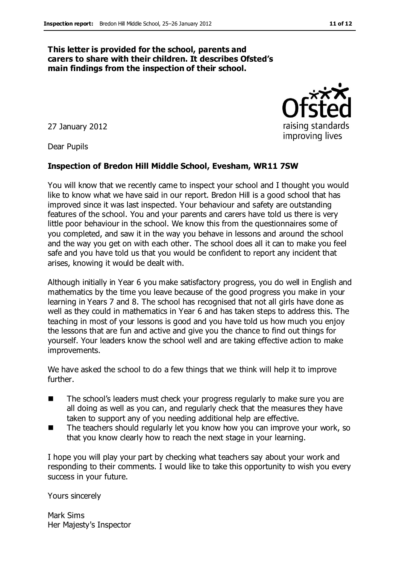#### **This letter is provided for the school, parents and carers to share with their children. It describes Ofsted's main findings from the inspection of their school.**

27 January 2012

Dear Pupils

#### **Inspection of Bredon Hill Middle School, Evesham, WR11 7SW**

You will know that we recently came to inspect your school and I thought you would like to know what we have said in our report. Bredon Hill is a good school that has improved since it was last inspected. Your behaviour and safety are outstanding features of the school. You and your parents and carers have told us there is very little poor behaviour in the school. We know this from the questionnaires some of you completed, and saw it in the way you behave in lessons and around the school and the way you get on with each other. The school does all it can to make you feel safe and you have told us that you would be confident to report any incident that arises, knowing it would be dealt with.

Although initially in Year 6 you make satisfactory progress, you do well in English and mathematics by the time you leave because of the good progress you make in your learning in Years 7 and 8. The school has recognised that not all girls have done as well as they could in mathematics in Year 6 and has taken steps to address this. The teaching in most of your lessons is good and you have told us how much you enjoy the lessons that are fun and active and give you the chance to find out things for yourself. Your leaders know the school well and are taking effective action to make improvements.

We have asked the school to do a few things that we think will help it to improve further.

- The school's leaders must check your progress regularly to make sure you are all doing as well as you can, and regularly check that the measures they have taken to support any of you needing additional help are effective.
- The teachers should regularly let you know how you can improve your work, so that you know clearly how to reach the next stage in your learning.

I hope you will play your part by checking what teachers say about your work and responding to their comments. I would like to take this opportunity to wish you every success in your future.

Yours sincerely

Mark Sims Her Majesty's Inspector